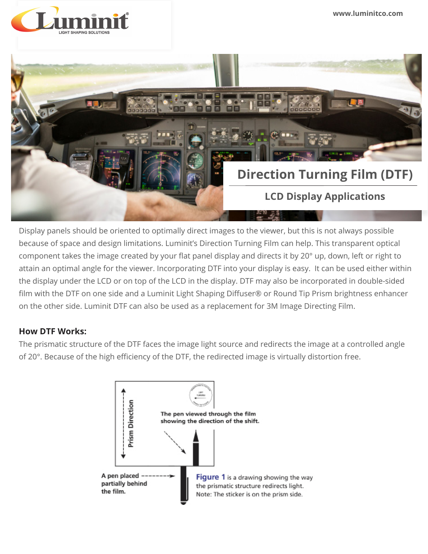**www.luminitco.com**





Display panels should be oriented to optimally direct images to the viewer, but this is not always possible because of space and design limitations. Luminit's Direction Turning Film can help. This transparent optical component takes the image created by your flat panel display and directs it by 20° up, down, left or right to attain an optimal angle for the viewer. Incorporating DTF into your display is easy. It can be used either within the display under the LCD or on top of the LCD in the display. DTF may also be incorporated in double-sided film with the DTF on one side and a Luminit Light Shaping Diffuser® or Round Tip Prism brightness enhancer on the other side. Luminit DTF can also be used as a replacement for 3M Image Directing Film.

## **How DTF Works:**

The prismatic structure of the DTF faces the image light source and redirects the image at a controlled angle of 20°. Because of the high efficiency of the DTF, the redirected image is virtually distortion free.